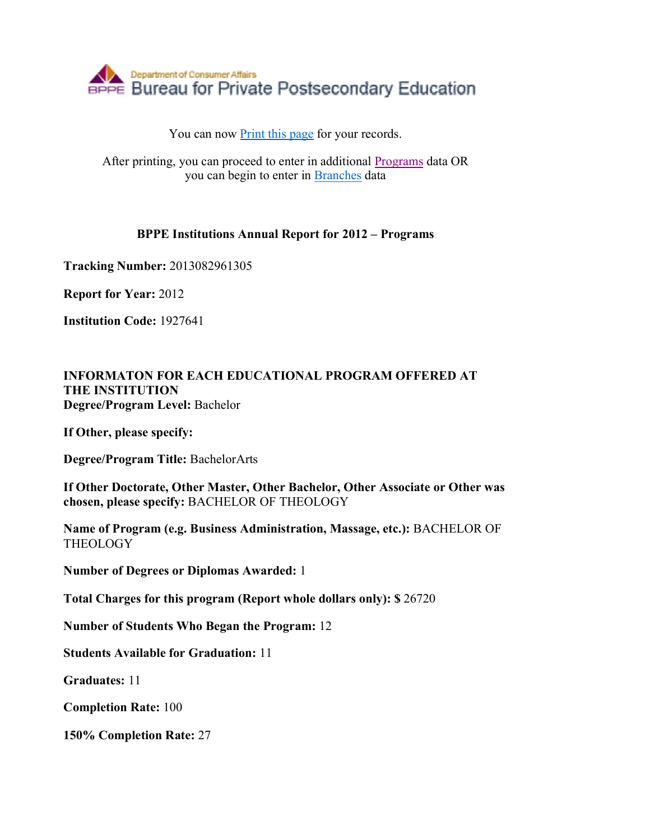

## You can now Print this page for your records.

After printing, you can proceed to enter in additional Programs data OR you can begin to enter in Branches data

## **BPPE Institutions Annual Report for 2012 – Programs**

**Tracking Number:** 2013082961305

**Report for Year:** 2012

**Institution Code:** 1927641

## **INFORMATON FOR EACH EDUCATIONAL PROGRAM OFFERED AT THE INSTITUTION Degree/Program Level:** Bachelor

**If Other, please specify:** 

**Degree/Program Title:** BachelorArts

**If Other Doctorate, Other Master, Other Bachelor, Other Associate or Other was chosen, please specify:** BACHELOR OF THEOLOGY

**Name of Program (e.g. Business Administration, Massage, etc.):** BACHELOR OF **THEOLOGY** 

**Number of Degrees or Diplomas Awarded:** 1

**Total Charges for this program (Report whole dollars only): \$** 26720

**Number of Students Who Began the Program:** 12

**Students Available for Graduation:** 11

**Graduates:** 11

**Completion Rate:** 100

**150% Completion Rate:** 27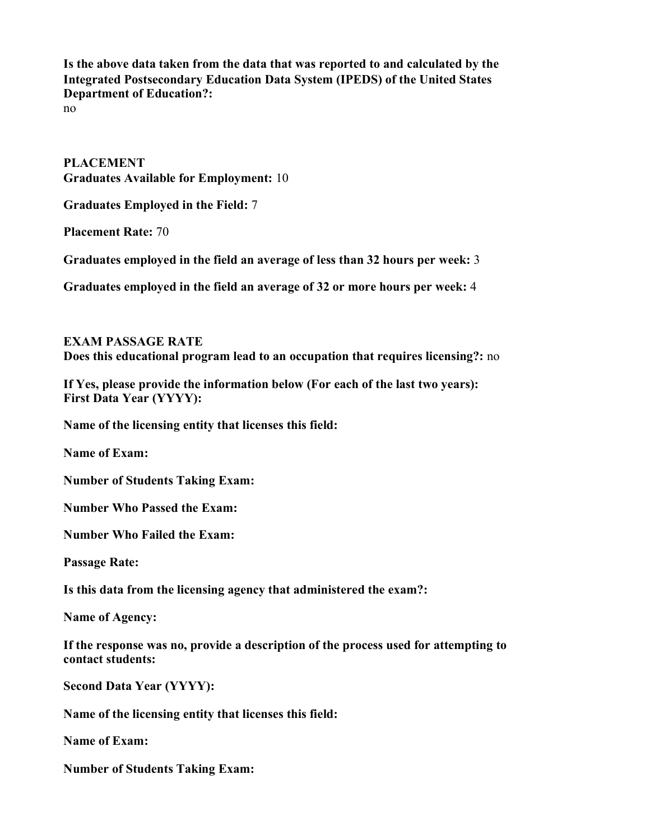**Is the above data taken from the data that was reported to and calculated by the Integrated Postsecondary Education Data System (IPEDS) of the United States Department of Education?:**

no

**PLACEMENT Graduates Available for Employment:** 10

**Graduates Employed in the Field:** 7

**Placement Rate:** 70

**Graduates employed in the field an average of less than 32 hours per week:** 3

**Graduates employed in the field an average of 32 or more hours per week:** 4

**EXAM PASSAGE RATE Does this educational program lead to an occupation that requires licensing?:** no

**If Yes, please provide the information below (For each of the last two years): First Data Year (YYYY):** 

**Name of the licensing entity that licenses this field:** 

**Name of Exam:** 

**Number of Students Taking Exam:** 

**Number Who Passed the Exam:** 

**Number Who Failed the Exam:** 

**Passage Rate:** 

**Is this data from the licensing agency that administered the exam?:** 

**Name of Agency:** 

**If the response was no, provide a description of the process used for attempting to contact students:** 

**Second Data Year (YYYY):** 

**Name of the licensing entity that licenses this field:** 

**Name of Exam:** 

**Number of Students Taking Exam:**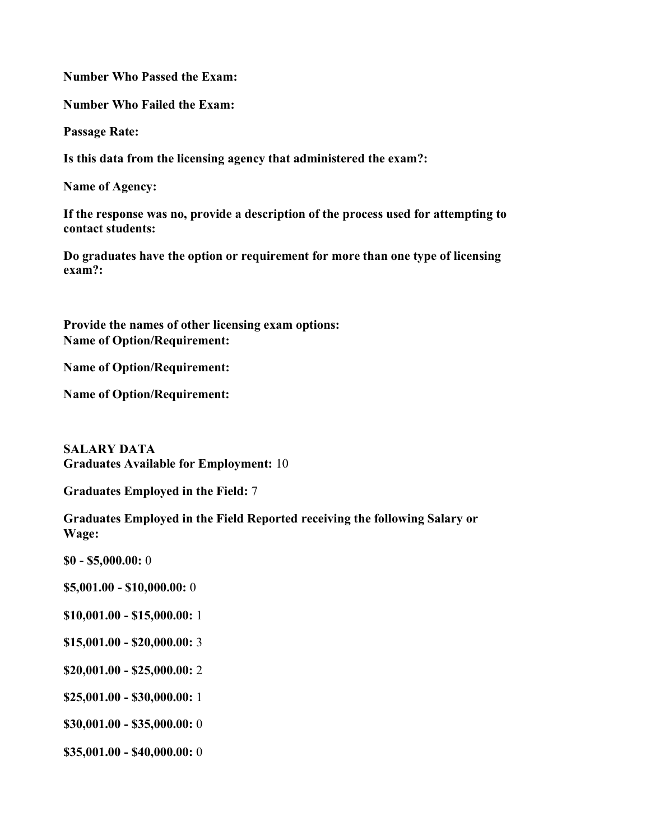**Number Who Passed the Exam:** 

**Number Who Failed the Exam:** 

**Passage Rate:** 

**Is this data from the licensing agency that administered the exam?:** 

**Name of Agency:** 

**If the response was no, provide a description of the process used for attempting to contact students:** 

**Do graduates have the option or requirement for more than one type of licensing exam?:** 

**Provide the names of other licensing exam options: Name of Option/Requirement:** 

**Name of Option/Requirement:** 

**Name of Option/Requirement:** 

**SALARY DATA Graduates Available for Employment:** 10

**Graduates Employed in the Field:** 7

**Graduates Employed in the Field Reported receiving the following Salary or Wage:**

**\$0 - \$5,000.00:** 0

**\$5,001.00 - \$10,000.00:** 0

- **\$10,001.00 - \$15,000.00:** 1
- **\$15,001.00 - \$20,000.00:** 3
- **\$20,001.00 - \$25,000.00:** 2
- **\$25,001.00 - \$30,000.00:** 1
- **\$30,001.00 - \$35,000.00:** 0
- **\$35,001.00 - \$40,000.00:** 0